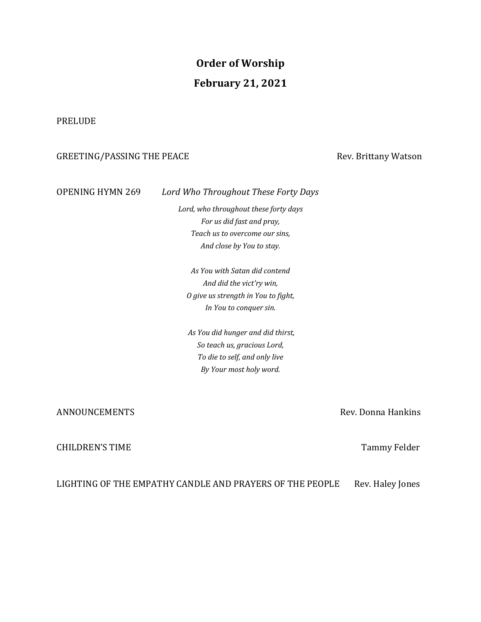# **Order of Worship February 21, 2021**

## PRELUDE

# GREETING/PASSING THE PEACE Superintend and the set of the Sevilland Matson

# OPENING HYMN 269 Lord Who Throughout These Forty Days

Lord, who throughout these forty days *For us did fast and pray, Teach us to overcome our sins, And close by You to stay.*

*As You with Satan did contend And did the vict'ry win, O give us strength in You to fight, In You to conquer sin.*

*As You did hunger and did thirst, So teach us, gracious Lord, To die to self, and only live By Your most holy word.*

### ANNOUNCEMENTS Rev. Donna Hankins

# CHILDREN'S TIME **And CHILDREN'S** TIME

LIGHTING OF THE EMPATHY CANDLE AND PRAYERS OF THE PEOPLE Rev. Haley Jones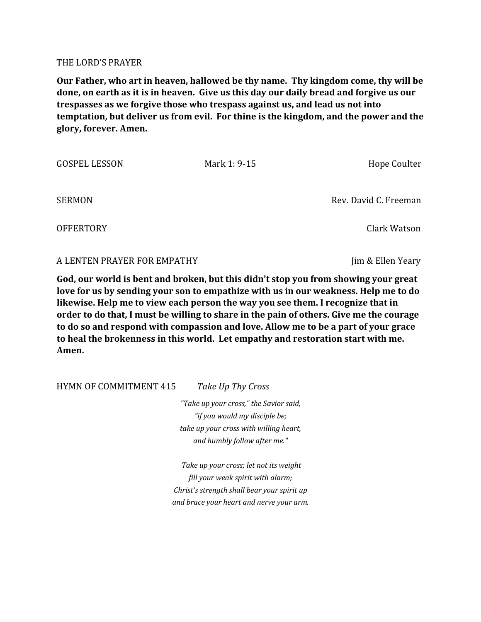### THE LORD'S PRAYER

**Our Father, who art in heaven, hallowed be thy name. Thy kingdom come, thy will be done, on earth as it is in heaven.** Give us this day our daily bread and forgive us our **trespasses as we forgive those who trespass against us, and lead us not into temptation, but deliver us from evil. For thine is the kingdom, and the power and the glory, forever. Amen.**

GOSPEL LESSON Mark 1: 9-15 Hope Coulter SERMON SERMON SERMON SERMON SERMON SERMON SERMON SERMON SERMON SERMON DEV. David C. Freeman OFFERTORY Clark Watson

A LENTEN PRAYER FOR EMPATHY **Solution Contains a latter of the UP** lim & Ellen Yeary

God, our world is bent and broken, but this didn't stop you from showing your great **love for us by sending your son to empathize with us in our weakness. Help me to do likewise.** Help me to view each person the way you see them. I recognize that in order to do that, I must be willing to share in the pain of others. Give me the courage to do so and respond with compassion and love. Allow me to be a part of your grace to heal the brokenness in this world. Let empathy and restoration start with me. **Amen.**

HYMN OF COMMITMENT 415 *Take Up Thy Cross* 

*"Take up your cross," the Savior said, "if you would my disciple be; take up your cross with willing heart, and humbly follow after me."*

Take up your cross; let not its weight fill your weak spirit with alarm; *Christ's strength shall bear your spirit up and brace your heart and nerve your arm.*